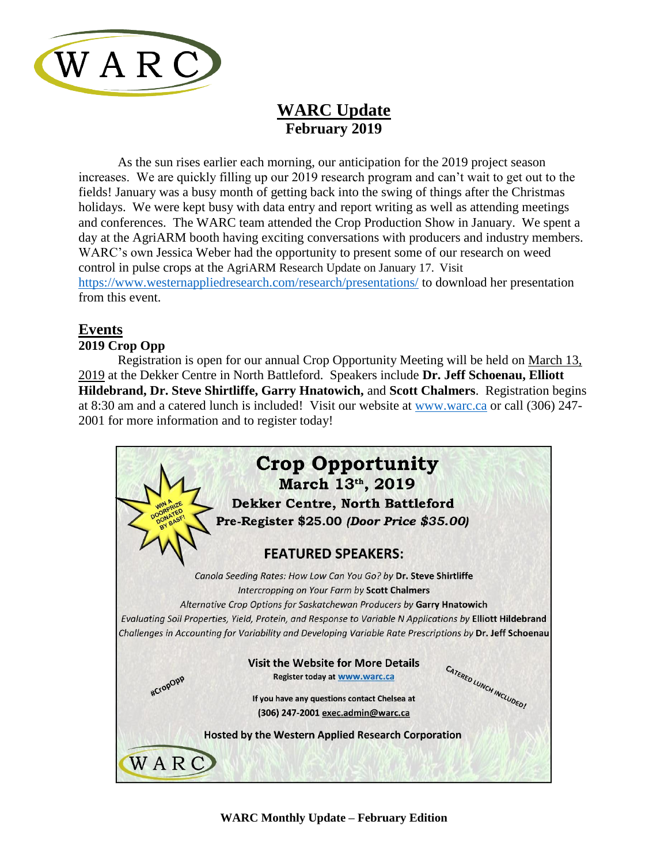

# **WARC Update February 2019**

As the sun rises earlier each morning, our anticipation for the 2019 project season increases. We are quickly filling up our 2019 research program and can't wait to get out to the fields! January was a busy month of getting back into the swing of things after the Christmas holidays. We were kept busy with data entry and report writing as well as attending meetings and conferences. The WARC team attended the Crop Production Show in January. We spent a day at the AgriARM booth having exciting conversations with producers and industry members. WARC's own Jessica Weber had the opportunity to present some of our research on weed control in pulse crops at the AgriARM Research Update on January 17. Visit <https://www.westernappliedresearch.com/research/presentations/> to download her presentation from this event.

## **Events**

## **2019 Crop Opp**

Registration is open for our annual Crop Opportunity Meeting will be held on March 13, 2019 at the Dekker Centre in North Battleford. Speakers include **Dr. Jeff Schoenau, Elliott Hildebrand, Dr. Steve Shirtliffe, Garry Hnatowich,** and **Scott Chalmers**. Registration begins at 8:30 am and a catered lunch is included! Visit our website at [www.warc.ca](http://www.warc.ca/) or call (306) 247- 2001 for more information and to register today!

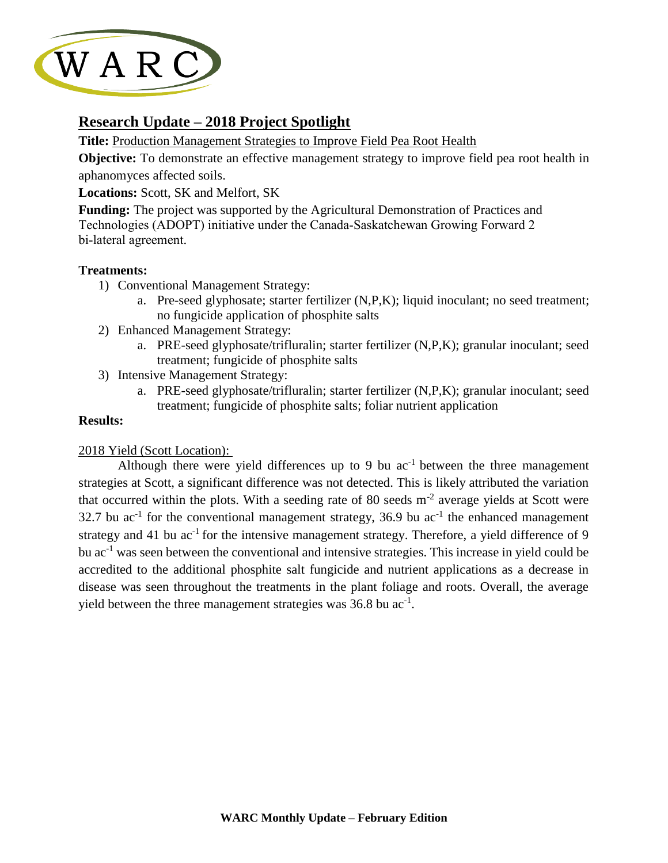

## **Research Update – 2018 Project Spotlight**

**Title:** Production Management Strategies to Improve Field Pea Root Health

**Objective:** To demonstrate an effective management strategy to improve field pea root health in aphanomyces affected soils.

#### **Locations:** Scott, SK and Melfort, SK

**Funding:** The project was supported by the Agricultural Demonstration of Practices and Technologies (ADOPT) initiative under the Canada‐Saskatchewan Growing Forward 2 bi‐lateral agreement.

#### **Treatments:**

- 1) Conventional Management Strategy:
	- a. Pre-seed glyphosate; starter fertilizer (N,P,K); liquid inoculant; no seed treatment; no fungicide application of phosphite salts
- 2) Enhanced Management Strategy:
	- a. PRE-seed glyphosate/trifluralin; starter fertilizer (N,P,K); granular inoculant; seed treatment; fungicide of phosphite salts
- 3) Intensive Management Strategy:
	- a. PRE-seed glyphosate/trifluralin; starter fertilizer (N,P,K); granular inoculant; seed treatment; fungicide of phosphite salts; foliar nutrient application

#### **Results:**

#### 2018 Yield (Scott Location):

Although there were yield differences up to 9 bu  $ac^{-1}$  between the three management strategies at Scott, a significant difference was not detected. This is likely attributed the variation that occurred within the plots. With a seeding rate of 80 seeds  $m<sup>-2</sup>$  average yields at Scott were 32.7 bu  $ac^{-1}$  for the conventional management strategy, 36.9 bu  $ac^{-1}$  the enhanced management strategy and 41 bu  $ac^{-1}$  for the intensive management strategy. Therefore, a yield difference of 9 bu ac<sup>-1</sup> was seen between the conventional and intensive strategies. This increase in yield could be accredited to the additional phosphite salt fungicide and nutrient applications as a decrease in disease was seen throughout the treatments in the plant foliage and roots. Overall, the average yield between the three management strategies was  $36.8$  bu ac<sup>-1</sup>.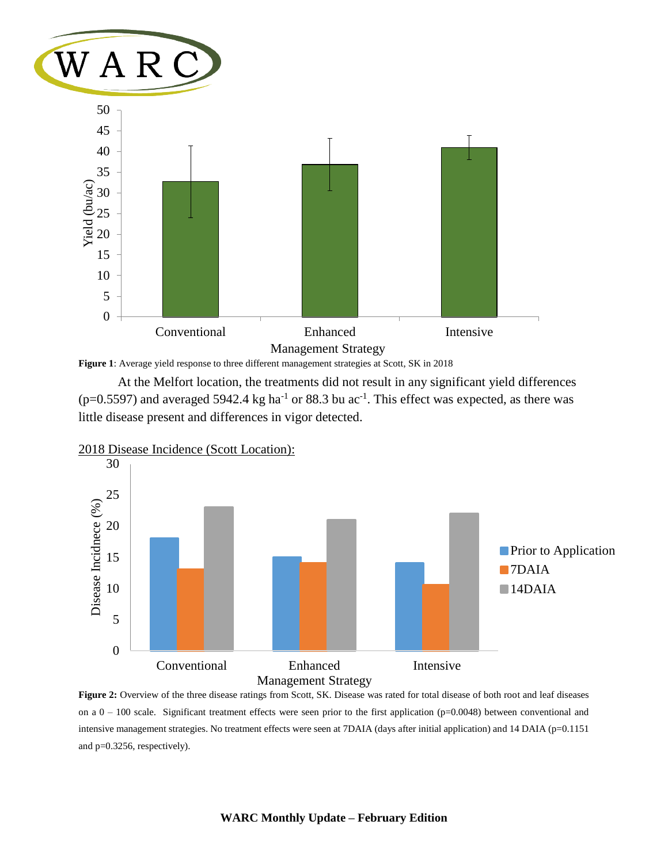

**Figure 1**: Average yield response to three different management strategies at Scott, SK in 2018

At the Melfort location, the treatments did not result in any significant yield differences  $(p=0.5597)$  and averaged 5942.4 kg ha<sup>-1</sup> or 88.3 bu ac<sup>-1</sup>. This effect was expected, as there was little disease present and differences in vigor detected.



**Figure 2:** Overview of the three disease ratings from Scott, SK. Disease was rated for total disease of both root and leaf diseases on a  $0 - 100$  scale. Significant treatment effects were seen prior to the first application (p=0.0048) between conventional and intensive management strategies. No treatment effects were seen at 7DAIA (days after initial application) and 14 DAIA (p=0.1151 and p=0.3256, respectively).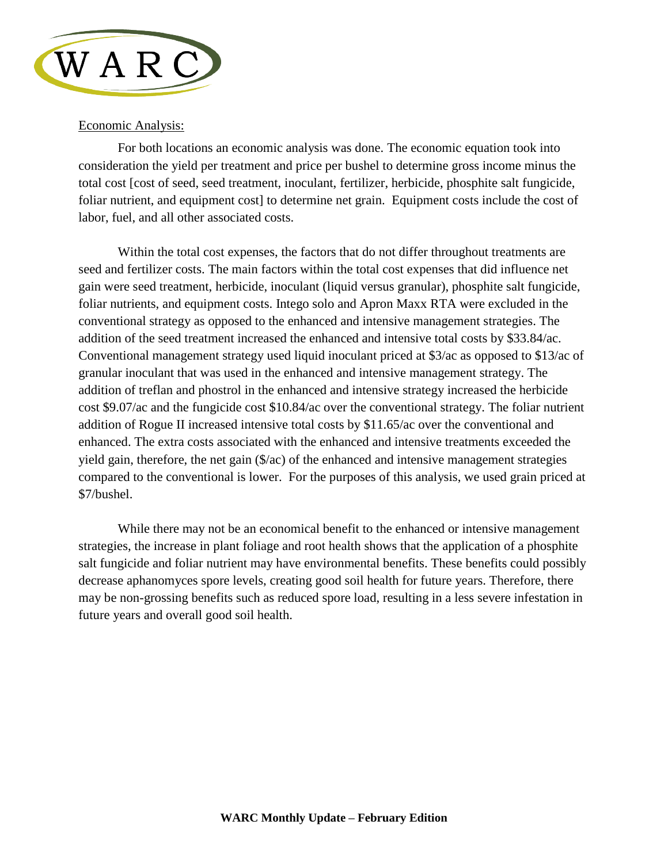

#### Economic Analysis:

For both locations an economic analysis was done. The economic equation took into consideration the yield per treatment and price per bushel to determine gross income minus the total cost [cost of seed, seed treatment, inoculant, fertilizer, herbicide, phosphite salt fungicide, foliar nutrient, and equipment cost] to determine net grain. Equipment costs include the cost of labor, fuel, and all other associated costs.

Within the total cost expenses, the factors that do not differ throughout treatments are seed and fertilizer costs. The main factors within the total cost expenses that did influence net gain were seed treatment, herbicide, inoculant (liquid versus granular), phosphite salt fungicide, foliar nutrients, and equipment costs. Intego solo and Apron Maxx RTA were excluded in the conventional strategy as opposed to the enhanced and intensive management strategies. The addition of the seed treatment increased the enhanced and intensive total costs by \$33.84/ac. Conventional management strategy used liquid inoculant priced at \$3/ac as opposed to \$13/ac of granular inoculant that was used in the enhanced and intensive management strategy. The addition of treflan and phostrol in the enhanced and intensive strategy increased the herbicide cost \$9.07/ac and the fungicide cost \$10.84/ac over the conventional strategy. The foliar nutrient addition of Rogue II increased intensive total costs by \$11.65/ac over the conventional and enhanced. The extra costs associated with the enhanced and intensive treatments exceeded the yield gain, therefore, the net gain (\$/ac) of the enhanced and intensive management strategies compared to the conventional is lower. For the purposes of this analysis, we used grain priced at \$7/bushel.

While there may not be an economical benefit to the enhanced or intensive management strategies, the increase in plant foliage and root health shows that the application of a phosphite salt fungicide and foliar nutrient may have environmental benefits. These benefits could possibly decrease aphanomyces spore levels, creating good soil health for future years. Therefore, there may be non-grossing benefits such as reduced spore load, resulting in a less severe infestation in future years and overall good soil health.